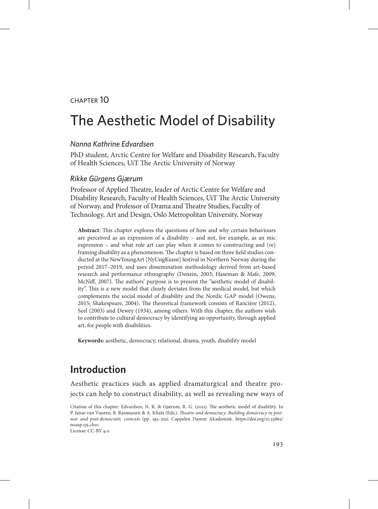#### chapter 10

# The Aesthetic Model of Disability

#### *Nanna Kathrine Edvardsen*

PhD student, Arctic Centre for Welfare and Disability Research, Faculty of Health Sciences, UiT The Arctic University of Norway

#### *Rikke Gürgens Gjærum*

Professor of Applied Theatre, leader of Arctic Centre for Welfare and Disability Research, Faculty of Health Sciences, UiT The Arctic University of Norway, and Professor of Drama and Theatre Studies, Faculty of Technology, Art and Design, Oslo Metropolitan University, Norway

**Abstract**: This chapter explores the questions of how and why certain behaviours are perceived as an expression of a disability – and not, for example, as an mic expression – and what role art can play when it comes to constructing and (re) framing disability as a phenomenon. The chapter is based on three field studies conducted at the NewYoungArt [NyUngKunst] festival in Northern Norway during the period 2017–2019, and uses dissemination methodology derived from art-based research and performance ethnography (Denzin, 2003; Haseman & Mafe, 2009; McNiff, 2007). The authors' purpose is to present the "aesthetic model of disability". This is a new model that clearly deviates from the medical model, but which complements the social model of disability and the Nordic GAP model (Owens, 2015; Shakespeare, 2004). The theoretical framework consists of Rancière (2012), Seel (2003) and Dewey (1934), among others. With this chapter, the authors wish to contribute to cultural democracy by identifying an opportunity, through applied art, for people with disabilities.

**Keywords:** aesthetic, democracy, relational, drama, youth, disability model

# **Introduction**

Aesthetic practices such as applied dramaturgical and theatre projects can help to construct disability, as well as revealing new ways of

License: CC-BY 4.0.

Citation of this chapter: Edvardsen, N. K. & Gjærum, R. G. (2021). The aesthetic model of disability. In P. Janse van Vuuren, B. Rasmussen & A. Khala (Eds.), *Theatre and democracy: Building democracy in postwar and post-democratic contexts* (pp. 193–215). Cappelen Damm Akademisk. [https://doi.org/10.23865/](https://doi.org/10.23865/noasp.135.ch10) [noasp.135.ch10](https://doi.org/10.23865/noasp.135.ch10)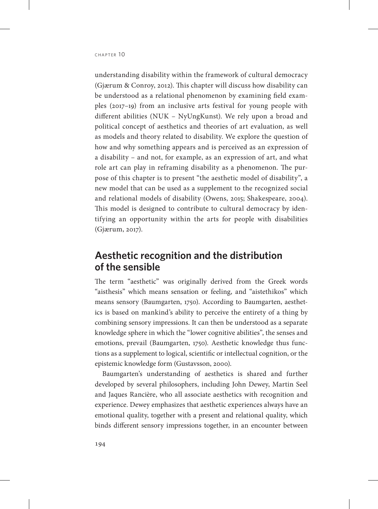understanding disability within the framework of cultural democracy (Gjærum & Conroy, 2012). This chapter will discuss how disability can be understood as a relational phenomenon by examining field examples (2017–19) from an inclusive arts festival for young people with different abilities (NUK – NyUngKunst). We rely upon a broad and political concept of aesthetics and theories of art evaluation, as well as models and theory related to disability. We explore the question of how and why something appears and is perceived as an expression of a disability – and not, for example, as an expression of art, and what role art can play in reframing disability as a phenomenon. The purpose of this chapter is to present "the aesthetic model of disability", a new model that can be used as a supplement to the recognized social and relational models of disability (Owens, 2015; Shakespeare, 2004). This model is designed to contribute to cultural democracy by identifying an opportunity within the arts for people with disabilities (Gjærum, 2017).

# **Aesthetic recognition and the distribution of the sensible**

The term "aesthetic" was originally derived from the Greek words "aisthesis" which means sensation or feeling, and "aistethikos" which means sensory (Baumgarten, 1750). According to Baumgarten, aesthetics is based on mankind's ability to perceive the entirety of a thing by combining sensory impressions. It can then be understood as a separate knowledge sphere in which the "lower cognitive abilities", the senses and emotions, prevail (Baumgarten, 1750). Aesthetic knowledge thus functions as a supplement to logical, scientific or intellectual cognition, or the epistemic knowledge form (Gustavsson, 2000).

Baumgarten's understanding of aesthetics is shared and further developed by several philosophers, including John Dewey, Martin Seel and Jaques Rancière, who all associate aesthetics with recognition and experience. Dewey emphasizes that aesthetic experiences always have an emotional quality, together with a present and relational quality, which binds different sensory impressions together, in an encounter between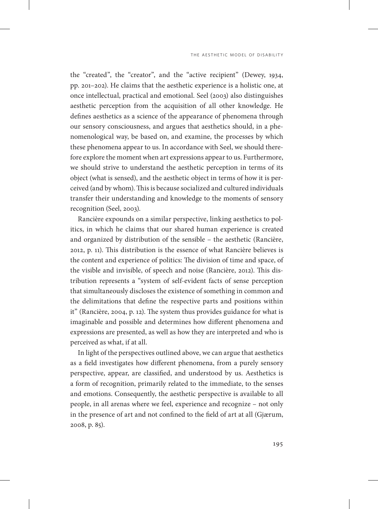the "created", the "creator", and the "active recipient" (Dewey, 1934, pp. 201–202). He claims that the aesthetic experience is a holistic one, at once intellectual, practical and emotional. Seel (2003) also distinguishes aesthetic perception from the acquisition of all other knowledge. He defines aesthetics as a science of the appearance of phenomena through our sensory consciousness, and argues that aesthetics should, in a phenomenological way, be based on, and examine, the processes by which these phenomena appear to us. In accordance with Seel, we should therefore explore the moment when art expressions appear to us. Furthermore, we should strive to understand the aesthetic perception in terms of its object (what is sensed), and the aesthetic object in terms of how it is perceived (and by whom). This is because socialized and cultured individuals transfer their understanding and knowledge to the moments of sensory recognition (Seel, 2003).

Rancière expounds on a similar perspective, linking aesthetics to politics, in which he claims that our shared human experience is created and organized by distribution of the sensible – the aesthetic (Rancière, 2012, p. 11). This distribution is the essence of what Rancière believes is the content and experience of politics: The division of time and space, of the visible and invisible, of speech and noise (Rancière, 2012). This distribution represents a "system of self-evident facts of sense perception that simultaneously discloses the existence of something in common and the delimitations that define the respective parts and positions within it" (Rancière, 2004, p. 12). The system thus provides guidance for what is imaginable and possible and determines how different phenomena and expressions are presented, as well as how they are interpreted and who is perceived as what, if at all.

In light of the perspectives outlined above, we can argue that aesthetics as a field investigates how different phenomena, from a purely sensory perspective, appear, are classified, and understood by us. Aesthetics is a form of recognition, primarily related to the immediate, to the senses and emotions. Consequently, the aesthetic perspective is available to all people, in all arenas where we feel, experience and recognize – not only in the presence of art and not confined to the field of art at all (Gjærum, 2008, p. 85).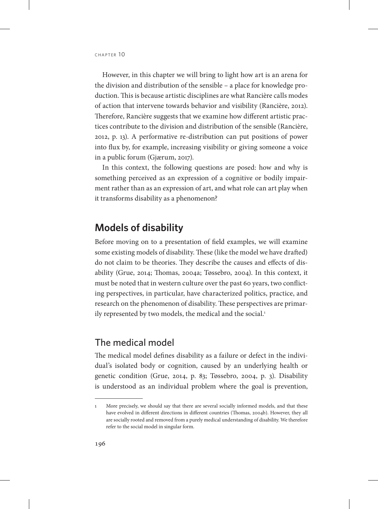However, in this chapter we will bring to light how art is an arena for the division and distribution of the sensible – a place for knowledge production. This is because artistic disciplines are what Rancière calls modes of action that intervene towards behavior and visibility (Rancière, 2012). Therefore, Rancière suggests that we examine how different artistic practices contribute to the division and distribution of the sensible (Rancière, 2012, p. 13). A performative re-distribution can put positions of power into flux by, for example, increasing visibility or giving someone a voice in a public forum (Gjærum, 2017).

In this context, the following questions are posed: how and why is something perceived as an expression of a cognitive or bodily impairment rather than as an expression of art, and what role can art play when it transforms disability as a phenomenon?

### **Models of disability**

Before moving on to a presentation of field examples, we will examine some existing models of disability. These (like the model we have drafted) do not claim to be theories. They describe the causes and effects of disability (Grue, 2014; Thomas, 2004a; Tøssebro, 2004). In this context, it must be noted that in western culture over the past 60 years, two conflicting perspectives, in particular, have characterized politics, practice, and research on the phenomenon of disability. These perspectives are primarily represented by two models, the medical and the social.<sup>1</sup>

### The medical model

The medical model defines disability as a failure or defect in the individual's isolated body or cognition, caused by an underlying health or genetic condition (Grue, 2014, p. 83; Tøssebro, 2004, p. 3). Disability is understood as an individual problem where the goal is prevention,

<sup>1</sup> More precisely, we should say that there are several socially informed models, and that these have evolved in different directions in different countries (Thomas, 2004b). However, they all are socially rooted and removed from a purely medical understanding of disability. We therefore refer to the social model in singular form.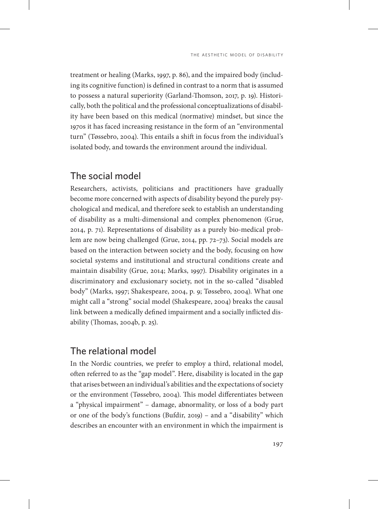treatment or healing (Marks, 1997, p. 86), and the impaired body (including its cognitive function) is defined in contrast to a norm that is assumed to possess a natural superiority (Garland-Thomson, 2017, p. 19). Historically, both the political and the professional conceptualizations of disability have been based on this medical (normative) mindset, but since the 1970s it has faced increasing resistance in the form of an "environmental turn" (Tøssebro, 2004). This entails a shift in focus from the individual's isolated body, and towards the environment around the individual.

### The social model

Researchers, activists, politicians and practitioners have gradually become more concerned with aspects of disability beyond the purely psychological and medical, and therefore seek to establish an understanding of disability as a multi-dimensional and complex phenomenon (Grue, 2014, p. 71). Representations of disability as a purely bio-medical problem are now being challenged (Grue, 2014, pp. 72–73). Social models are based on the interaction between society and the body, focusing on how societal systems and institutional and structural conditions create and maintain disability (Grue, 2014; Marks, 1997). Disability originates in a discriminatory and exclusionary society, not in the so-called "disabled body" (Marks, 1997; Shakespeare, 2004, p. 9; Tøssebro, 2004). What one might call a "strong" social model (Shakespeare, 2004) breaks the causal link between a medically defined impairment and a socially inflicted disability (Thomas, 2004b, p. 25).

### The relational model

In the Nordic countries, we prefer to employ a third, relational model, often referred to as the "gap model". Here, disability is located in the gap that arises between an individual's abilities and the expectations of society or the environment (Tøssebro, 2004). This model differentiates between a "physical impairment" – damage, abnormality, or loss of a body part or one of the body's functions (Bufdir, 2019) – and a "disability" which describes an encounter with an environment in which the impairment is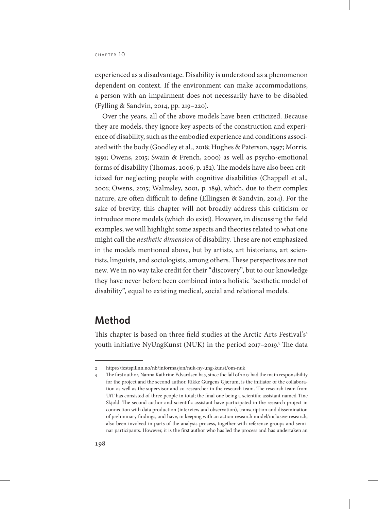experienced as a disadvantage. Disability is understood as a phenomenon dependent on context. If the environment can make accommodations, a person with an impairment does not necessarily have to be disabled (Fylling & Sandvin, 2014, pp. 219–220).

Over the years, all of the above models have been criticized. Because they are models, they ignore key aspects of the construction and experience of disability, such as the embodied experience and conditions associated with the body (Goodley et al., 2018; Hughes & Paterson, 1997; Morris, 1991; Owens, 2015; Swain & French, 2000) as well as psycho-emotional forms of disability (Thomas, 2006, p. 182). The models have also been criticized for neglecting people with cognitive disabilities (Chappell et al., 2001; Owens, 2015; Walmsley, 2001, p. 189), which, due to their complex nature, are often difficult to define (Ellingsen & Sandvin, 2014). For the sake of brevity, this chapter will not broadly address this criticism or introduce more models (which do exist). However, in discussing the field examples, we will highlight some aspects and theories related to what one might call the *aesthetic dimension* of disability. These are not emphasized in the models mentioned above, but by artists, art historians, art scientists, linguists, and sociologists, among others. These perspectives are not new. We in no way take credit for their "discovery", but to our knowledge they have never before been combined into a holistic "aesthetic model of disability", equal to existing medical, social and relational models.

# **Method**

This chapter is based on three field studies at the Arctic Arts Festival's<sup>2</sup> youth initiative NyUngKunst (NUK) in the period 2017–2019.<sup>3</sup> The data

<sup>2</sup> https://festspillnn.no/nb/informasjon/nuk-ny-ung-kunst/om-nuk

<sup>3</sup> The first author, Nanna Kathrine Edvardsen has, since the fall of 2017 had the main responsibility for the project and the second author, Rikke Gürgens Gjærum, is the initiator of the collaboration as well as the supervisor and co-researcher in the research team. The research team from UiT has consisted of three people in total; the final one being a scientific assistant named Tine Skjold. The second author and scientific assistant have participated in the research project in connection with data production (interview and observation), transcription and dissemination of preliminary findings, and have, in keeping with an action research model/inclusive research, also been involved in parts of the analysis process, together with reference groups and seminar participants. However, it is the first author who has led the process and has undertaken an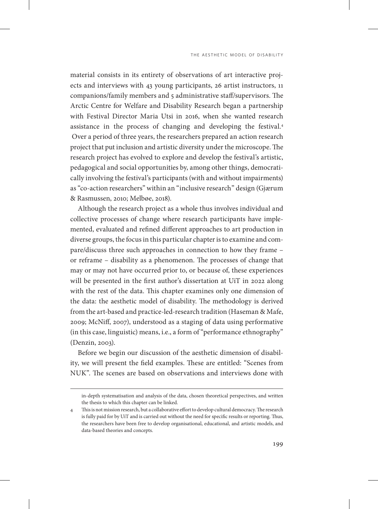material consists in its entirety of observations of art interactive projects and interviews with 43 young participants, 26 artist instructors, 11 companions/family members and 5 administrative staff/supervisors. The Arctic Centre for Welfare and Disability Research began a partnership with Festival Director Maria Utsi in 2016, when she wanted research assistance in the process of changing and developing the festival.4 Over a period of three years, the researchers prepared an action research project that put inclusion and artistic diversity under the microscope. The research project has evolved to explore and develop the festival's artistic, pedagogical and social opportunities by, among other things, democratically involving the festival's participants (with and without impairments) as "co-action researchers" within an "inclusive research" design (Gjærum & Rasmussen, 2010; Melbøe, 2018).

Although the research project as a whole thus involves individual and collective processes of change where research participants have implemented, evaluated and refined different approaches to art production in diverse groups, the focus in this particular chapter is to examine and compare/discuss three such approaches in connection to how they frame – or reframe – disability as a phenomenon. The processes of change that may or may not have occurred prior to, or because of, these experiences will be presented in the first author's dissertation at UiT in 2022 along with the rest of the data. This chapter examines only one dimension of the data: the aesthetic model of disability. The methodology is derived from the art-based and practice-led-research tradition (Haseman & Mafe, 2009; McNiff, 2007), understood as a staging of data using performative (in this case, linguistic) means, i.e., a form of "performance ethnography" (Denzin, 2003).

Before we begin our discussion of the aesthetic dimension of disability, we will present the field examples. These are entitled: "Scenes from NUK". The scenes are based on observations and interviews done with

in-depth systematisation and analysis of the data, chosen theoretical perspectives, and written the thesis to which this chapter can be linked.

<sup>4</sup> This is not mission research, but a collaborative effort to develop cultural democracy. The research is fully paid for by UiT and is carried out without the need for specific results or reporting. Thus, the researchers have been free to develop organisational, educational, and artistic models, and data-based theories and concepts.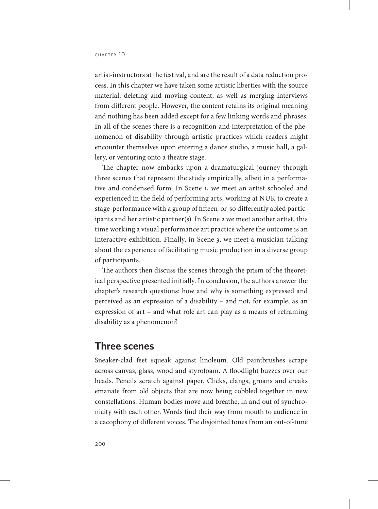artist-instructors at the festival, and are the result of a data reduction process. In this chapter we have taken some artistic liberties with the source material, deleting and moving content, as well as merging interviews from different people. However, the content retains its original meaning and nothing has been added except for a few linking words and phrases. In all of the scenes there is a recognition and interpretation of the phenomenon of disability through artistic practices which readers might encounter themselves upon entering a dance studio, a music hall, a gallery, or venturing onto a theatre stage.

The chapter now embarks upon a dramaturgical journey through three scenes that represent the study empirically, albeit in a performative and condensed form. In Scene 1, we meet an artist schooled and experienced in the field of performing arts, working at NUK to create a stage-performance with a group of fifteen-or-so differently abled participants and her artistic partner(s). In Scene 2 we meet another artist, this time working a visual performance art practice where the outcome is an interactive exhibition. Finally, in Scene 3, we meet a musician talking about the experience of facilitating music production in a diverse group of participants.

The authors then discuss the scenes through the prism of the theoretical perspective presented initially. In conclusion, the authors answer the chapter's research questions: how and why is something expressed and perceived as an expression of a disability – and not, for example, as an expression of art – and what role art can play as a means of reframing disability as a phenomenon?

### **Three scenes**

Sneaker-clad feet squeak against linoleum. Old paintbrushes scrape across canvas, glass, wood and styrofoam. A floodlight buzzes over our heads. Pencils scratch against paper. Clicks, clangs, groans and creaks emanate from old objects that are now being cobbled together in new constellations. Human bodies move and breathe, in and out of synchronicity with each other. Words find their way from mouth to audience in a cacophony of different voices. The disjointed tones from an out-of-tune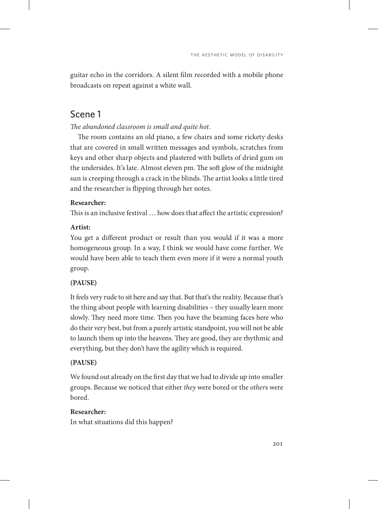guitar echo in the corridors. A silent film recorded with a mobile phone broadcasts on repeat against a white wall.

# Scene 1

*The abandoned classroom is small and quite hot*.

The room contains an old piano, a few chairs and some rickety desks that are covered in small written messages and symbols, scratches from keys and other sharp objects and plastered with bullets of dried gum on the undersides. It's late. Almost eleven pm. The soft glow of the midnight sun is creeping through a crack in the blinds. The artist looks a little tired and the researcher is flipping through her notes.

#### **Researcher:**

This is an inclusive festival … how does that affect the artistic expression?

#### **Artist:**

You get a different product or result than you would if it was a more homogeneous group. In a way, I think we would have come further. We would have been able to teach them even more if it were a normal youth group.

### **(PAUSE)**

It feels very rude to sit here and say that. But that's the reality. Because that's the thing about people with learning disabilities – they usually learn more slowly. They need more time. Then you have the beaming faces here who do their very best, but from a purely artistic standpoint, you will not be able to launch them up into the heavens. They are good, they are rhythmic and everything, but they don't have the agility which is required.

#### **(PAUSE)**

We found out already on the first day that we had to divide up into smaller groups. Because we noticed that either *they* were bored or the *other*s were bored.

#### **Researcher:**

In what situations did this happen?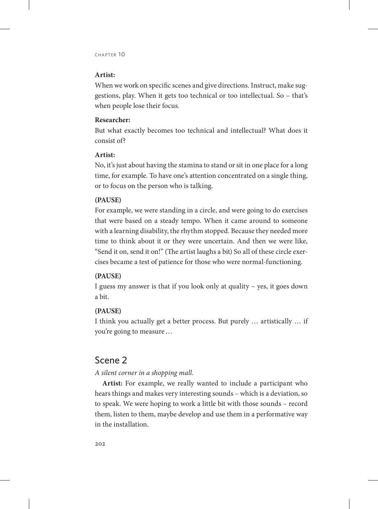#### **Artist:**

When we work on specific scenes and give directions. Instruct, make suggestions, play. When it gets too technical or too intellectual. So – that's when people lose their focus.

#### **Researcher:**

But what exactly becomes too technical and intellectual? What does it consist of?

#### **Artist:**

No, it's just about having the stamina to stand or sit in one place for a long time, for example. To have one's attention concentrated on a single thing, or to focus on the person who is talking.

#### **(PAUSE)**

For example, we were standing in a circle, and were going to do exercises that were based on a steady tempo. When it came around to someone with a learning disability, the rhythm stopped. Because they needed more time to think about it or they were uncertain. And then we were like, "Send it on, send it on!" (The artist laughs a bit) So all of these circle exercises became a test of patience for those who were normal-functioning.

#### **(PAUSE)**

I guess my answer is that if you look only at quality – yes, it goes down a bit.

#### **(PAUSE)**

I think you actually get a better process. But purely … artistically … if you're going to measure…

# Scene 2

#### *A silent corner in a shopping mall*.

**Artist:** For example, we really wanted to include a participant who hears things and makes very interesting sounds – which is a deviation, so to speak. We were hoping to work a little bit with those sounds – record them, listen to them, maybe develop and use them in a performative way in the installation.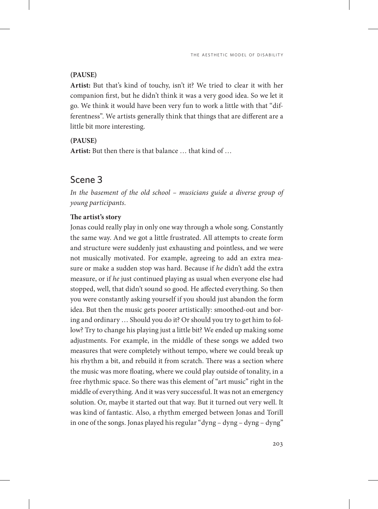#### **(PAUSE)**

**Artist:** But that's kind of touchy, isn't it? We tried to clear it with her companion first, but he didn't think it was a very good idea. So we let it go. We think it would have been very fun to work a little with that "differentness". We artists generally think that things that are different are a little bit more interesting.

#### **(PAUSE)**

**Artist:** But then there is that balance … that kind of …

### Scene 3

*In the basement of the old school – musicians guide a diverse group of young participants*.

#### **The artist's story**

Jonas could really play in only one way through a whole song. Constantly the same way. And we got a little frustrated. All attempts to create form and structure were suddenly just exhausting and pointless, and we were not musically motivated. For example, agreeing to add an extra measure or make a sudden stop was hard. Because if *he* didn't add the extra measure, or if *he* just continued playing as usual when everyone else had stopped, well, that didn't sound so good. He affected everything. So then you were constantly asking yourself if you should just abandon the form idea. But then the music gets poorer artistically: smoothed-out and boring and ordinary … Should you do it? Or should you try to get him to follow? Try to change his playing just a little bit? We ended up making some adjustments. For example, in the middle of these songs we added two measures that were completely without tempo, where we could break up his rhythm a bit, and rebuild it from scratch. There was a section where the music was more floating, where we could play outside of tonality, in a free rhythmic space. So there was this element of "art music" right in the middle of everything. And it was very successful. It was not an emergency solution. Or, maybe it started out that way. But it turned out very well. It was kind of fantastic. Also, a rhythm emerged between Jonas and Torill in one of the songs. Jonas played his regular "dyng – dyng – dyng – dyng"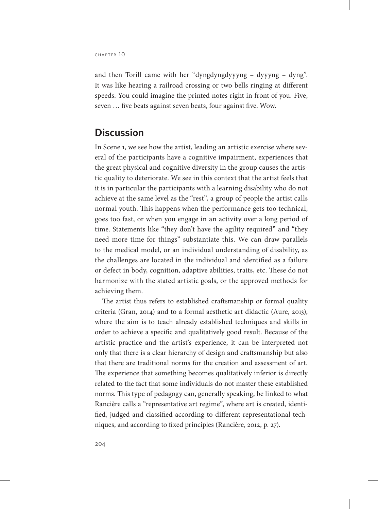$CHAPTER$  10

and then Torill came with her "dyngdyngdyyyng – dyyyng – dyng". It was like hearing a railroad crossing or two bells ringing at different speeds. You could imagine the printed notes right in front of you. Five, seven … five beats against seven beats, four against five. Wow.

### **Discussion**

In Scene 1, we see how the artist, leading an artistic exercise where several of the participants have a cognitive impairment, experiences that the great physical and cognitive diversity in the group causes the artistic quality to deteriorate. We see in this context that the artist feels that it is in particular the participants with a learning disability who do not achieve at the same level as the "rest", a group of people the artist calls normal youth. This happens when the performance gets too technical, goes too fast, or when you engage in an activity over a long period of time. Statements like "they don't have the agility required" and "they need more time for things" substantiate this. We can draw parallels to the medical model, or an individual understanding of disability, as the challenges are located in the individual and identified as a failure or defect in body, cognition, adaptive abilities, traits, etc. These do not harmonize with the stated artistic goals, or the approved methods for achieving them.

The artist thus refers to established craftsmanship or formal quality criteria (Gran, 2014) and to a formal aesthetic art didactic (Aure, 2013), where the aim is to teach already established techniques and skills in order to achieve a specific and qualitatively good result. Because of the artistic practice and the artist's experience, it can be interpreted not only that there is a clear hierarchy of design and craftsmanship but also that there are traditional norms for the creation and assessment of art. The experience that something becomes qualitatively inferior is directly related to the fact that some individuals do not master these established norms. This type of pedagogy can, generally speaking, be linked to what Rancière calls a "representative art regime", where art is created, identified, judged and classified according to different representational techniques, and according to fixed principles (Rancière, 2012, p. 27).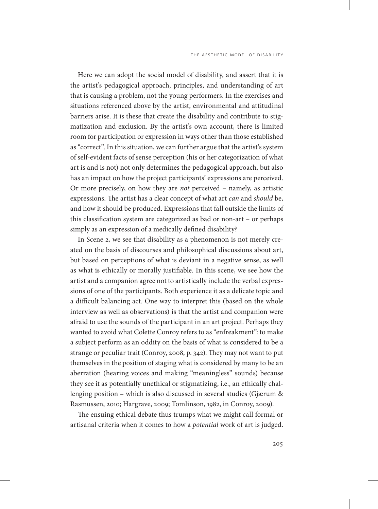Here we can adopt the social model of disability, and assert that it is the artist's pedagogical approach, principles, and understanding of art that is causing a problem, not the young performers. In the exercises and situations referenced above by the artist, environmental and attitudinal barriers arise. It is these that create the disability and contribute to stigmatization and exclusion. By the artist's own account, there is limited room for participation or expression in ways other than those established as "correct". In this situation, we can further argue that the artist's system of self-evident facts of sense perception (his or her categorization of what art is and is not) not only determines the pedagogical approach, but also has an impact on how the project participants' expressions are perceived. Or more precisely, on how they are *not* perceived – namely, as artistic expressions. The artist has a clear concept of what art *can* and *should* be, and how it should be produced. Expressions that fall outside the limits of this classification system are categorized as bad or non-art – or perhaps simply as an expression of a medically defined disability?

In Scene 2, we see that disability as a phenomenon is not merely created on the basis of discourses and philosophical discussions about art, but based on perceptions of what is deviant in a negative sense, as well as what is ethically or morally justifiable. In this scene, we see how the artist and a companion agree not to artistically include the verbal expressions of one of the participants. Both experience it as a delicate topic and a difficult balancing act. One way to interpret this (based on the whole interview as well as observations) is that the artist and companion were afraid to use the sounds of the participant in an art project. Perhaps they wanted to avoid what Colette Conroy refers to as "enfreakment": to make a subject perform as an oddity on the basis of what is considered to be a strange or peculiar trait (Conroy, 2008, p. 342). They may not want to put themselves in the position of staging what is considered by many to be an aberration (hearing voices and making "meaningless" sounds) because they see it as potentially unethical or stigmatizing, i.e., an ethically challenging position – which is also discussed in several studies (Gjærum & Rasmussen, 2010; Hargrave, 2009; Tomlinson, 1982, in Conroy, 2009).

The ensuing ethical debate thus trumps what we might call formal or artisanal criteria when it comes to how a *potential* work of art is judged.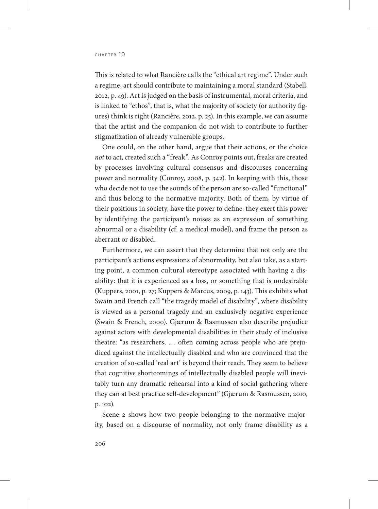This is related to what Rancière calls the "ethical art regime". Under such a regime, art should contribute to maintaining a moral standard (Stabell, 2012, p. 49). Art is judged on the basis of instrumental, moral criteria, and is linked to "ethos", that is, what the majority of society (or authority figures) think is right (Rancière, 2012, p. 25). In this example, we can assume that the artist and the companion do not wish to contribute to further stigmatization of already vulnerable groups.

One could, on the other hand, argue that their actions, or the choice *not* to act, created such a "freak". As Conroy points out, freaks are created by processes involving cultural consensus and discourses concerning power and normality (Conroy, 2008, p. 342). In keeping with this, those who decide not to use the sounds of the person are so-called "functional" and thus belong to the normative majority. Both of them, by virtue of their positions in society, have the power to define: they exert this power by identifying the participant's noises as an expression of something abnormal or a disability (cf. a medical model), and frame the person as aberrant or disabled.

Furthermore, we can assert that they determine that not only are the participant's actions expressions of abnormality, but also take, as a starting point, a common cultural stereotype associated with having a disability: that it is experienced as a loss, or something that is undesirable (Kuppers, 2001, p. 27; Kuppers & Marcus, 2009, p. 143). This exhibits what Swain and French call "the tragedy model of disability", where disability is viewed as a personal tragedy and an exclusively negative experience (Swain & French, 2000). Gjærum & Rasmussen also describe prejudice against actors with developmental disabilities in their study of inclusive theatre: "as researchers, … often coming across people who are prejudiced against the intellectually disabled and who are convinced that the creation of so-called 'real art' is beyond their reach. They seem to believe that cognitive shortcomings of intellectually disabled people will inevitably turn any dramatic rehearsal into a kind of social gathering where they can at best practice self-development" (Gjærum & Rasmussen, 2010, p. 102).

Scene 2 shows how two people belonging to the normative majority, based on a discourse of normality, not only frame disability as a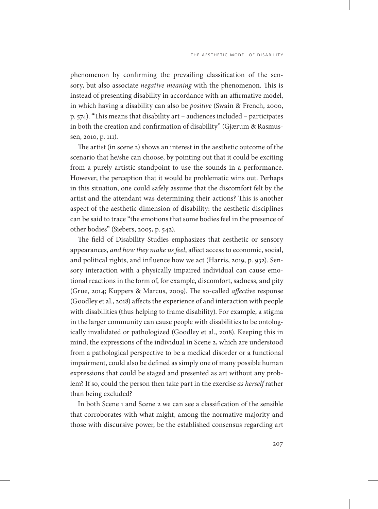phenomenon by confirming the prevailing classification of the sensory, but also associate *negative meaning* with the phenomenon. This is instead of presenting disability in accordance with an affirmative model, in which having a disability can also be *positive* (Swain & French, 2000, p. 574). "This means that disability art – audiences included – participates in both the creation and confirmation of disability" (Gjærum & Rasmussen, 2010, p. 111).

The artist (in scene 2) shows an interest in the aesthetic outcome of the scenario that he/she can choose, by pointing out that it could be exciting from a purely artistic standpoint to use the sounds in a performance. However, the perception that it would be problematic wins out. Perhaps in this situation, one could safely assume that the discomfort felt by the artist and the attendant was determining their actions? This is another aspect of the aesthetic dimension of disability: the aesthetic disciplines can be said to trace "the emotions that some bodies feel in the presence of other bodies" (Siebers, 2005, p. 542).

The field of Disability Studies emphasizes that aesthetic or sensory appearances, *and how they make us feel*, affect access to economic, social, and political rights, and influence how we act (Harris, 2019, p. 932). Sensory interaction with a physically impaired individual can cause emotional reactions in the form of, for example, discomfort, sadness, and pity (Grue, 2014; Kuppers & Marcus, 2009). The so-called *affective* response (Goodley et al., 2018) affects the experience of and interaction with people with disabilities (thus helping to frame disability). For example, a stigma in the larger community can cause people with disabilities to be ontologically invalidated or pathologized (Goodley et al., 2018). Keeping this in mind, the expressions of the individual in Scene 2, which are understood from a pathological perspective to be a medical disorder or a functional impairment, could also be defined as simply one of many possible human expressions that could be staged and presented as art without any problem? If so, could the person then take part in the exercise *as herself* rather than being excluded?

In both Scene 1 and Scene 2 we can see a classification of the sensible that corroborates with what might, among the normative majority and those with discursive power, be the established consensus regarding art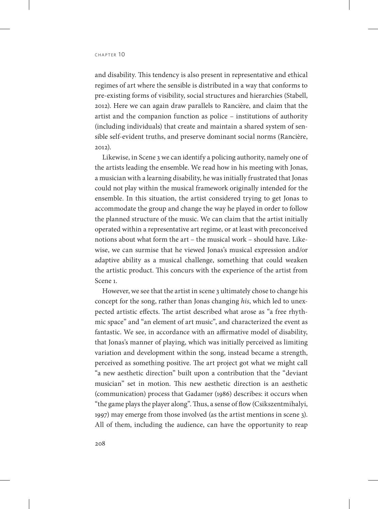and disability. This tendency is also present in representative and ethical regimes of art where the sensible is distributed in a way that conforms to pre-existing forms of visibility, social structures and hierarchies (Stabell, 2012). Here we can again draw parallels to Rancière, and claim that the artist and the companion function as police – institutions of authority (including individuals) that create and maintain a shared system of sensible self-evident truths, and preserve dominant social norms (Rancière, 2012).

Likewise, in Scene 3 we can identify a policing authority, namely one of the artists leading the ensemble. We read how in his meeting with Jonas, a musician with a learning disability, he was initially frustrated that Jonas could not play within the musical framework originally intended for the ensemble. In this situation, the artist considered trying to get Jonas to accommodate the group and change the way he played in order to follow the planned structure of the music. We can claim that the artist initially operated within a representative art regime, or at least with preconceived notions about what form the art – the musical work – should have. Likewise, we can surmise that he viewed Jonas's musical expression and/or adaptive ability as a musical challenge, something that could weaken the artistic product. This concurs with the experience of the artist from Scene 1.

However, we see that the artist in scene 3 ultimately chose to change his concept for the song, rather than Jonas changing *his*, which led to unexpected artistic effects. The artist described what arose as "a free rhythmic space" and "an element of art music", and characterized the event as fantastic. We see, in accordance with an affirmative model of disability, that Jonas's manner of playing, which was initially perceived as limiting variation and development within the song, instead became a strength, perceived as something positive. The art project got what we might call "a new aesthetic direction" built upon a contribution that the "deviant musician" set in motion. This new aesthetic direction is an aesthetic (communication) process that Gadamer (1986) describes: it occurs when "the game plays the player along". Thus, a sense of flow (Csikszentmihalyi, 1997) may emerge from those involved (as the artist mentions in scene 3). All of them, including the audience, can have the opportunity to reap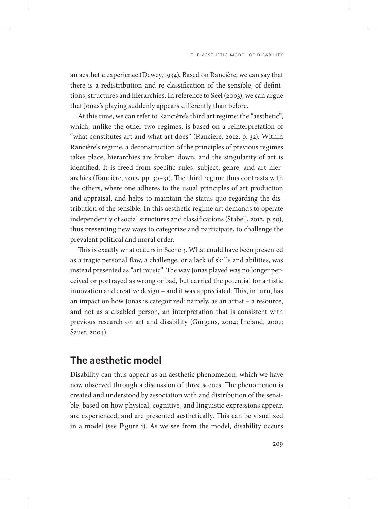an aesthetic experience (Dewey, 1934). Based on Rancière, we can say that there is a redistribution and re-classification of the sensible, of definitions, structures and hierarchies. In reference to Seel (2003), we can argue that Jonas's playing suddenly appears differently than before.

At this time, we can refer to Rancière's third art regime: the "aesthetic", which, unlike the other two regimes, is based on a reinterpretation of "what constitutes art and what art does" (Rancière, 2012, p. 32). Within Rancière's regime, a deconstruction of the principles of previous regimes takes place, hierarchies are broken down, and the singularity of art is identified. It is freed from specific rules, subject, genre, and art hierarchies (Rancière, 2012, pp. 30–31). The third regime thus contrasts with the others, where one adheres to the usual principles of art production and appraisal, and helps to maintain the status quo regarding the distribution of the sensible. In this aesthetic regime art demands to operate independently of social structures and classifications (Stabell, 2012, p. 50), thus presenting new ways to categorize and participate, to challenge the prevalent political and moral order.

This is exactly what occurs in Scene 3. What could have been presented as a tragic personal flaw, a challenge, or a lack of skills and abilities, was instead presented as "art music". The way Jonas played was no longer perceived or portrayed as wrong or bad, but carried the potential for artistic innovation and creative design – and it was appreciated. This, in turn, has an impact on how Jonas is categorized: namely, as an artist – a resource, and not as a disabled person, an interpretation that is consistent with previous research on art and disability (Gürgens, 2004; Ineland, 2007; Sauer, 2004).

### **The aesthetic model**

Disability can thus appear as an aesthetic phenomenon, which we have now observed through a discussion of three scenes. The phenomenon is created and understood by association with and distribution of the sensible, based on how physical, cognitive, and linguistic expressions appear, are experienced, and are presented aesthetically. This can be visualized in a model (see Figure 1). As we see from the model, disability occurs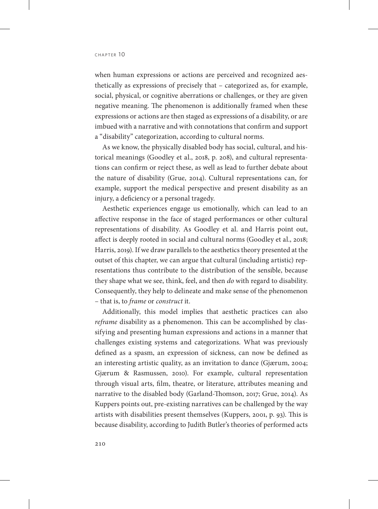when human expressions or actions are perceived and recognized aesthetically as expressions of precisely that – categorized as, for example, social, physical, or cognitive aberrations or challenges, or they are given negative meaning. The phenomenon is additionally framed when these expressions or actions are then staged as expressions of a disability, or are imbued with a narrative and with connotations that confirm and support a "disability" categorization, according to cultural norms.

As we know, the physically disabled body has social, cultural, and historical meanings (Goodley et al., 2018, p. 208), and cultural representations can confirm or reject these, as well as lead to further debate about the nature of disability (Grue, 2014). Cultural representations can, for example, support the medical perspective and present disability as an injury, a deficiency or a personal tragedy.

Aesthetic experiences engage us emotionally, which can lead to an affective response in the face of staged performances or other cultural representations of disability. As Goodley et al. and Harris point out, affect is deeply rooted in social and cultural norms (Goodley et al., 2018; Harris, 2019). If we draw parallels to the aesthetics theory presented at the outset of this chapter, we can argue that cultural (including artistic) representations thus contribute to the distribution of the sensible, because they shape what we see, think, feel, and then *do* with regard to disability. Consequently, they help to delineate and make sense of the phenomenon – that is, to *frame* or *construct* it.

Additionally, this model implies that aesthetic practices can also *reframe* disability as a phenomenon. This can be accomplished by classifying and presenting human expressions and actions in a manner that challenges existing systems and categorizations. What was previously defined as a spasm, an expression of sickness, can now be defined as an interesting artistic quality, as an invitation to dance (Gjærum, 2004; Gjærum & Rasmussen, 2010). For example, cultural representation through visual arts, film, theatre, or literature, attributes meaning and narrative to the disabled body (Garland-Thomson, 2017; Grue, 2014). As Kuppers points out, pre-existing narratives can be challenged by the way artists with disabilities present themselves (Kuppers, 2001, p. 93). This is because disability, according to Judith Butler's theories of performed acts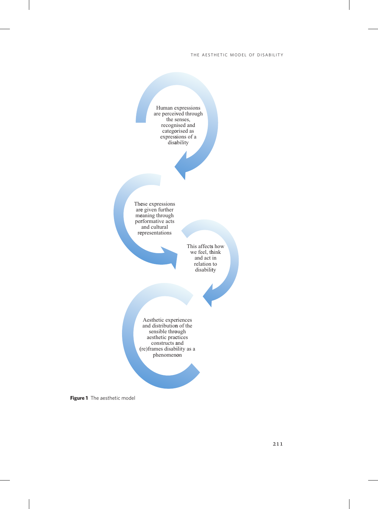

**Figure 1** The aesthetic model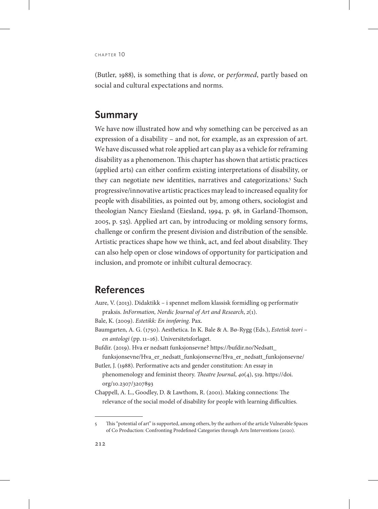(Butler, 1988), is something that is *done*, or *performed*, partly based on social and cultural expectations and norms.

# **Summary**

We have now illustrated how and why something can be perceived as an expression of a disability – and not, for example, as an expression of art. We have discussed what role applied art can play as a vehicle for reframing disability as a phenomenon. This chapter has shown that artistic practices (applied arts) can either confirm existing interpretations of disability, or they can negotiate new identities, narratives and categorizations.5 Such progressive/innovative artistic practices may lead to increased equality for people with disabilities, as pointed out by, among others, sociologist and theologian Nancy Eiesland (Eiesland, 1994, p. 98, in Garland-Thomson, 2005, p. 525). Applied art can, by introducing or molding sensory forms, challenge or confirm the present division and distribution of the sensible. Artistic practices shape how we think, act, and feel about disability. They can also help open or close windows of opportunity for participation and inclusion, and promote or inhibit cultural democracy.

# **References**

- Aure, V. (2013). Didaktikk i spennet mellom klassisk formidling og performativ praksis. *InFormation, Nordic Journal of Art and Research*, *2*(1).
- Bale, K. (2009). *Estetikk: En innføring*. Pax.
- Baumgarten, A. G. (1750). Aesthetica. In K. Bale & A. Bø-Rygg (Eds.), *Estetisk teori en antologi* (pp. 11–16). Universitetsforlaget.
- Bufdir. (2019). Hva er nedsatt funksjonsevne? [https://bufdir.no/Nedsatt\\_](https://bufdir.no/Nedsatt_funksjonsevne/Hva_er_nedsatt_funksjonsevne/Hva_er_nedsatt_funksjonsevne/) [funksjonsevne/Hva\\_er\\_nedsatt\\_funksjonsevne/Hva\\_er\\_nedsatt\\_funksjonsevne/](https://bufdir.no/Nedsatt_funksjonsevne/Hva_er_nedsatt_funksjonsevne/Hva_er_nedsatt_funksjonsevne/)
- Butler, J. (1988). Performative acts and gender constitution: An essay in phenomenology and feminist theory. *Theatre Journal*, *40*(4), 519[. https://doi.](https://doi.org/10.2307/3207893) [org/10.2307/3207893](https://doi.org/10.2307/3207893)
- Chappell, A. L., Goodley, D. & Lawthom, R. (2001). Making connections: The relevance of the social model of disability for people with learning difficulties.

<sup>5</sup> This "potential of art" is supported, among others, by the authors of the article Vulnerable Spaces of Co Production: Confronting Predefined Categories through Arts Interventions (2020).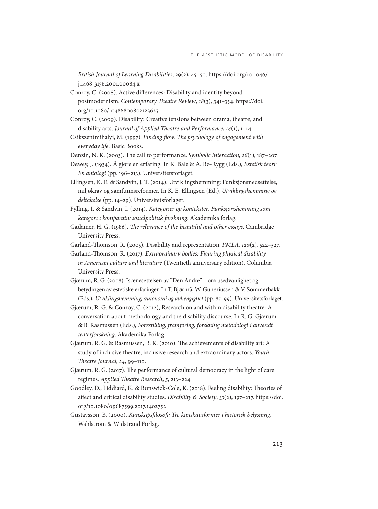*British Journal of Learning Disabilities*, *29*(2), 45–50. [https://doi.org/10.1046/](https://doi.org/10.1046/j.1468-3156.2001.00084.x) [j.1468-3156.2001.00084.x](https://doi.org/10.1046/j.1468-3156.2001.00084.x)

- Conroy, C. (2008). Active differences: Disability and identity beyond postmodernism. *Contemporary Theatre Review*, *18*(3), 341–354. [https://doi.](https://doi.org/10.1080/10486800802123625) [org/10.1080/10486800802123625](https://doi.org/10.1080/10486800802123625)
- Conroy, C. (2009). Disability: Creative tensions between drama, theatre, and disability arts. *Journal of Applied Theatre and Performance*, *14*(1), 1–14.
- Csikszentmihalyi, M. (1997). *Finding flow: The psychology of engagement with everyday life*. Basic Books.
- Denzin, N. K. (2003). The call to performance. *Symbolic Interaction*, *26*(1), 187–207.
- Dewey, J. (1934). Å gjøre en erfaring. In K. Bale & A. Bø-Rygg (Eds.), *Estetisk teori: En antologi* (pp. 196–213). Universitetsforlaget.
- Ellingsen, K. E. & Sandvin, J. T. (2014). Utviklingshemming: Funksjonsnedsettelse, miljøkrav og samfunnsreformer. In K. E. Ellingsen (Ed.), *Utviklingshemming og deltakelse* (pp. 14–29). Universitetsforlaget.
- Fylling, I. & Sandvin, I. (2014). *Kategorier og kontekster: Funksjonshemming som kategori i komparativ sosialpolitisk forskning*. Akademika forlag.
- Gadamer, H. G. (1986). *The relevance of the beautiful and other essays*. Cambridge University Press.
- Garland-Thomson, R. (2005). Disability and representation. *PMLA*, *120*(2), 522–527.
- Garland-Thomson, R. (2017). *Extraordinary bodies: Figuring physical disability in American culture and literature* (Twentieth anniversary edition). Columbia University Press.
- Gjærum, R. G. (2008). Iscenesettelsen av "Den Andre" om usedvanlighet og betydingen av estetiske erfaringer. In T. Bjørnrå, W. Guneriussen & V. Sommerbakk (Eds.), *Utviklingshemming, autonomi og avhengighet* (pp. 85–99). Universitetsforlaget.
- Gjærum, R. G. & Conroy, C. (2012), Research on and within disability theatre: A conversation about methodology and the disability discourse. In R. G. Gjærum & B. Rasmussen (Eds.), *Forestilling, framføring, forskning metodologi i anvendt teaterforskning*. Akademika Forlag.
- Gjærum, R. G. & Rasmussen, B. K. (2010). The achievements of disability art: A study of inclusive theatre, inclusive research and extraordinary actors. *Youth Theatre Journal*, *24*, 99–110.
- Gjærum, R. G. (2017). The performance of cultural democracy in the light of care regimes. *Applied Theatre Research*, *5*, 213–224.
- Goodley, D., Liddiard, K. & Runswick-Cole, K. (2018). Feeling disability: Theories of affect and critical disability studies. *Disability & Society*, *33*(2), 197–217. [https://doi.](https://doi.org/10.1080/09687599.2017.1402752) [org/10.1080/09687599.2017.1402752](https://doi.org/10.1080/09687599.2017.1402752)
- Gustavsson, B. (2000). *Kunskapsfilosofi: Tre kunskapsformer i historisk belysning*, Wahlström & Widstrand Forlag.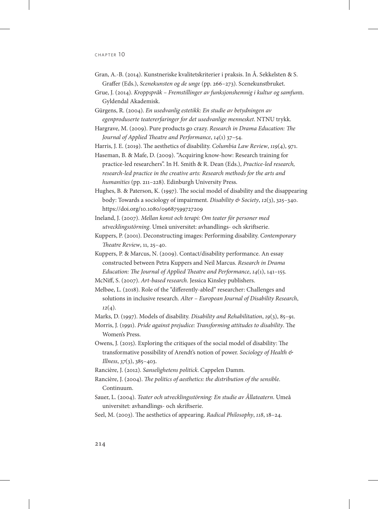- Gran, A.-B. (2014). Kunstneriske kvalitetskriterier i praksis. In Å. Sekkelsten & S. Graffer (Eds.), *Scenekunsten og de unge* (pp. 266–273). Scenekunstbruket.
- Grue, J. (2014). *Kroppspråk Fremstillinger av funksjonshemnig i kultur og samfun*n. Gyldendal Akademisk.
- Gürgens, R. (2004). *En usedvanlig estetikk: En studie av betydningen av egenproduserte teatererfaringer for det usedvanlige mennesket*. NTNU trykk.

Hargrave, M. (2009). Pure products go crazy. *Research in Drama Education: The Journal of Applied Theatre and Performance*, *14*(1) 37–54.

Harris, J. E. (2019). The aesthetics of disability. *Columbia Law Review*, *119*(4), 971.

- Haseman, B. & Mafe, D. (2009). "Acquiring know-how: Research training for practice-led researchers". In H. Smith & R. Dean (Eds.), *Practice-led research, research-led practice in the creative arts: Research methods for the arts and humanities* (pp. 211–228). Edinburgh University Press.
- Hughes, B. & Paterson, K. (1997). The social model of disability and the disappearing body: Towards a sociology of impairment. *Disability & Society*, *12*(3), 325–340. https://doi.org/10.1080/09687599727209
- Ineland, J. (2007). *Mellan konst och terapi: Om teater för personer med utvecklingsstörning*. Umeå universitet: avhandlings- och skriftserie.
- Kuppers, P. (2001). Deconstructing images: Performing disability. *Contemporary Theatre Review*, 11, 25–40.
- Kuppers, P. & Marcus, N. (2009). Contact/disability performance. An essay constructed between Petra Kuppers and Neil Marcus. *Research in Drama Education: The Journal of Applied Theatre and Performance*, *14*(1), 141–155.
- McNiff, S. (2007). *Art-based research*. Jessica Kinsley publishers.
- Melbøe, L. (2018). Role of the "differently-abled" researcher: Challenges and solutions in inclusive research. *Alter* – *European Journal of Disability Research*, *12*(4).
- Marks, D. (1997). Models of disability. *Disability and Rehabilitation*, *19*(3), 85–91.
- Morris, J. (1991). *Pride against prejudice: Transforming attitudes to disability*. The Women's Press.
- Owens, J. (2015). Exploring the critiques of the social model of disability: The transformative possibility of Arendt's notion of power. *Sociology of Health & Illness*, *37*(3), 385–403.
- Rancière, J. (2012). *Sanselighetens politick*. Cappelen Damm.
- Rancière, J. (2004). *The politics of aesthetics: the distribution of the sensible*. Continuum.
- Sauer, L. (2004). *Teater och utvecklingsstörning: En studie av Ållateatern*. Umeå universitet: avhandlings- och skriftserie.
- Seel, M. (2003). The aesthetics of appearing. *Radical Philosophy*, *118*, 18–24.